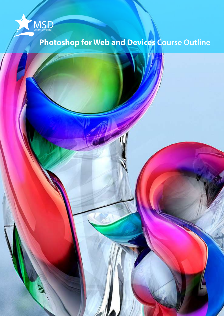

# **Photoshop for Web and Devices Course Outline**